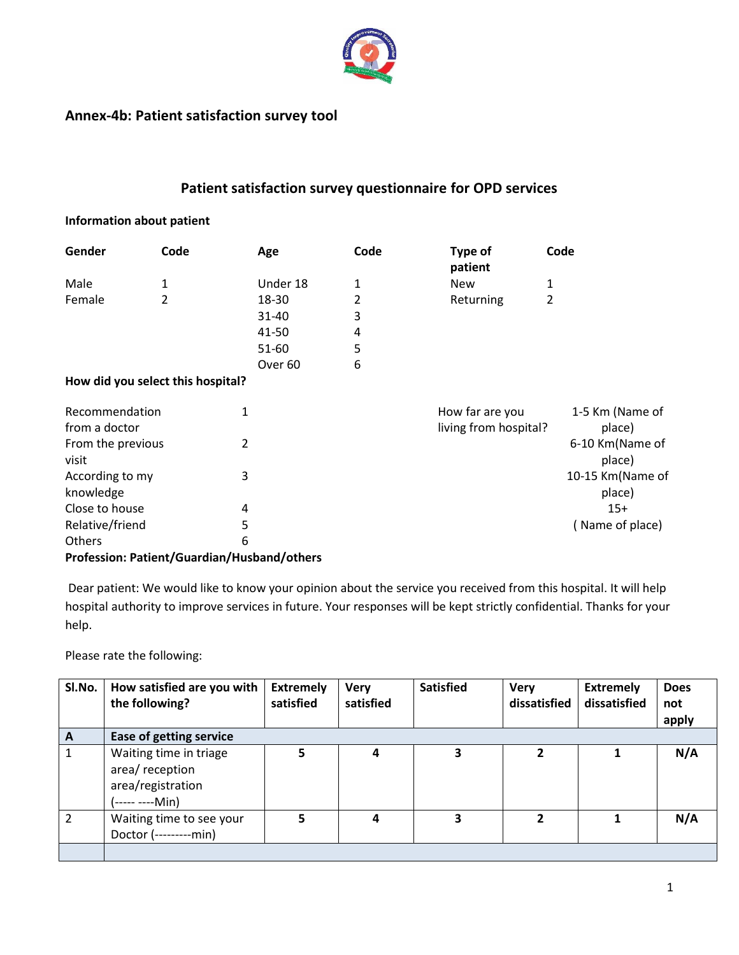

# **Annex-4b: Patient satisfaction survey tool**

# **Patient satisfaction survey questionnaire for OPD services**

#### **Information about patient**

| Gender | Code                                                              | Age                | Code | Type of<br>patient | Code |
|--------|-------------------------------------------------------------------|--------------------|------|--------------------|------|
| Male   | 1                                                                 | Under 18           | 1    | <b>New</b>         | 1    |
| Female | $\mathcal{P}$                                                     | 18-30              | 2    | Returning          | 2    |
|        |                                                                   | $31 - 40$          | 3    |                    |      |
|        |                                                                   | 41-50              | 4    |                    |      |
|        |                                                                   | 51-60              | 5    |                    |      |
|        | $\mathbf{r}$ . The set of $\mathbf{r}$ is the set of $\mathbf{r}$ | Over <sub>60</sub> | 6    |                    |      |

#### **How did you select this hospital?**

| Recommendation<br>from a doctor |   | How far are you<br>living from hospital? | 1-5 Km (Name of<br>place)  |
|---------------------------------|---|------------------------------------------|----------------------------|
| From the previous<br>visit      |   |                                          | 6-10 Km(Name of<br>place)  |
| According to my<br>knowledge    | 3 |                                          | 10-15 Km(Name of<br>place) |
| Close to house                  | 4 |                                          | $15+$                      |
| Relative/friend                 | 5 |                                          | (Name of place)            |
| <b>Others</b>                   | 6 |                                          |                            |

### **Profession: Patient/Guardian/Husband/others**

Dear patient: We would like to know your opinion about the service you received from this hospital. It will help hospital authority to improve services in future. Your responses will be kept strictly confidential. Thanks for your help.

Please rate the following:

| SI.No.         | How satisfied are you with<br>the following?                                      | <b>Extremely</b><br>satisfied | <b>Very</b><br>satisfied | <b>Satisfied</b> | <b>Very</b><br>dissatisfied | <b>Extremely</b><br>dissatisfied | <b>Does</b><br>not<br>apply |
|----------------|-----------------------------------------------------------------------------------|-------------------------------|--------------------------|------------------|-----------------------------|----------------------------------|-----------------------------|
| $\mathbf{A}$   | <b>Ease of getting service</b>                                                    |                               |                          |                  |                             |                                  |                             |
|                | Waiting time in triage<br>area/ reception<br>area/registration<br>(----- ----Min) |                               | 4                        | э                |                             |                                  | N/A                         |
| $\mathfrak{p}$ | Waiting time to see your<br>Doctor (---------min)                                 | 5                             | 4                        | 3                | $\mathbf{z}$                |                                  | N/A                         |
|                |                                                                                   |                               |                          |                  |                             |                                  |                             |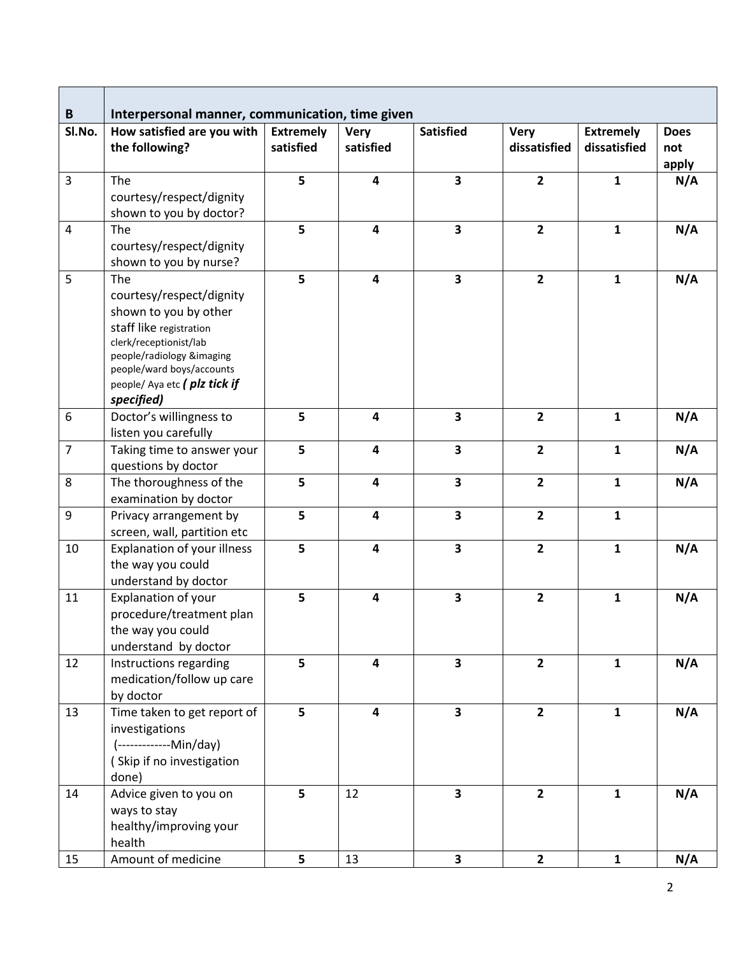| B<br>SI.No.      | Interpersonal manner, communication, time given<br>How satisfied are you with | <b>Extremely</b> | <b>Very</b>             | <b>Satisfied</b>        | <b>Very</b>    | <b>Extremely</b> | <b>Does</b> |
|------------------|-------------------------------------------------------------------------------|------------------|-------------------------|-------------------------|----------------|------------------|-------------|
|                  | the following?                                                                | satisfied        | satisfied               |                         | dissatisfied   | dissatisfied     | not         |
|                  |                                                                               |                  |                         |                         |                |                  | apply       |
| $\overline{3}$   | The                                                                           | 5                | $\overline{\mathbf{4}}$ | $\overline{\mathbf{3}}$ | $\overline{2}$ | $\mathbf{1}$     | N/A         |
|                  | courtesy/respect/dignity                                                      |                  |                         |                         |                |                  |             |
|                  | shown to you by doctor?                                                       |                  |                         |                         |                |                  |             |
| $\overline{4}$   | The                                                                           | $\overline{5}$   | 4                       | $\overline{\mathbf{3}}$ | $\overline{2}$ | $\mathbf{1}$     | N/A         |
|                  | courtesy/respect/dignity                                                      |                  |                         |                         |                |                  |             |
|                  | shown to you by nurse?                                                        |                  |                         |                         |                |                  |             |
| 5                | The                                                                           | 5                | $\overline{\mathbf{4}}$ | $\overline{\mathbf{3}}$ | $\overline{2}$ | $\mathbf{1}$     | N/A         |
|                  | courtesy/respect/dignity                                                      |                  |                         |                         |                |                  |             |
|                  | shown to you by other                                                         |                  |                         |                         |                |                  |             |
|                  | staff like registration                                                       |                  |                         |                         |                |                  |             |
|                  | clerk/receptionist/lab                                                        |                  |                         |                         |                |                  |             |
|                  | people/radiology &imaging                                                     |                  |                         |                         |                |                  |             |
|                  | people/ward boys/accounts                                                     |                  |                         |                         |                |                  |             |
|                  | people/ Aya etc ( plz tick if                                                 |                  |                         |                         |                |                  |             |
|                  | specified)                                                                    | 5                | $\overline{\mathbf{4}}$ | $\overline{\mathbf{3}}$ | $\overline{2}$ | $\mathbf{1}$     |             |
| $\boldsymbol{6}$ | Doctor's willingness to                                                       |                  |                         |                         |                |                  | N/A         |
| $\overline{7}$   | listen you carefully                                                          |                  |                         |                         |                |                  |             |
|                  | Taking time to answer your                                                    | 5                | $\overline{\mathbf{4}}$ | $\overline{\mathbf{3}}$ | $\overline{2}$ | $\mathbf{1}$     | N/A         |
|                  | questions by doctor                                                           |                  |                         |                         |                |                  |             |
| 8                | The thoroughness of the                                                       | 5                | $\overline{\mathbf{4}}$ | $\overline{\mathbf{3}}$ | $\overline{2}$ | $\mathbf{1}$     | N/A         |
|                  | examination by doctor                                                         |                  |                         |                         |                |                  |             |
| 9                | Privacy arrangement by                                                        | 5                | $\overline{\mathbf{4}}$ | $\overline{\mathbf{3}}$ | $\overline{2}$ | $\mathbf{1}$     |             |
|                  | screen, wall, partition etc                                                   |                  |                         |                         |                |                  |             |
| 10               | Explanation of your illness                                                   | 5                | $\overline{\mathbf{4}}$ | $\overline{\mathbf{3}}$ | $\overline{2}$ | $\mathbf{1}$     | N/A         |
|                  | the way you could                                                             |                  |                         |                         |                |                  |             |
|                  | understand by doctor                                                          |                  |                         |                         |                |                  |             |
| 11               | Explanation of your                                                           | 5                | $\overline{\mathbf{4}}$ | 3                       | $\overline{2}$ | $\mathbf{1}$     | N/A         |
|                  | procedure/treatment plan                                                      |                  |                         |                         |                |                  |             |
|                  | the way you could                                                             |                  |                         |                         |                |                  |             |
|                  | understand by doctor                                                          |                  |                         |                         |                |                  |             |
| 12               | Instructions regarding                                                        | 5                | $\overline{\mathbf{4}}$ | $\overline{\mathbf{3}}$ | $\overline{2}$ | $\mathbf{1}$     | N/A         |
|                  | medication/follow up care                                                     |                  |                         |                         |                |                  |             |
|                  | by doctor                                                                     |                  |                         |                         |                |                  |             |
| 13               | Time taken to get report of                                                   | 5                | 4                       | $\overline{\mathbf{3}}$ | $\overline{2}$ | $\mathbf{1}$     | N/A         |
|                  | investigations                                                                |                  |                         |                         |                |                  |             |
|                  | (--------------Min/day)                                                       |                  |                         |                         |                |                  |             |
|                  | (Skip if no investigation                                                     |                  |                         |                         |                |                  |             |
|                  | done)                                                                         |                  |                         |                         |                |                  |             |
| 14               | Advice given to you on                                                        | 5                | 12                      | $\overline{\mathbf{3}}$ | $\overline{2}$ | $\mathbf{1}$     | N/A         |
|                  | ways to stay                                                                  |                  |                         |                         |                |                  |             |
|                  | healthy/improving your                                                        |                  |                         |                         |                |                  |             |
|                  | health                                                                        |                  |                         |                         |                |                  |             |
| 15               | Amount of medicine                                                            | 5                | 13                      | $\overline{\mathbf{3}}$ | $\mathbf{2}$   | $\mathbf{1}$     | N/A         |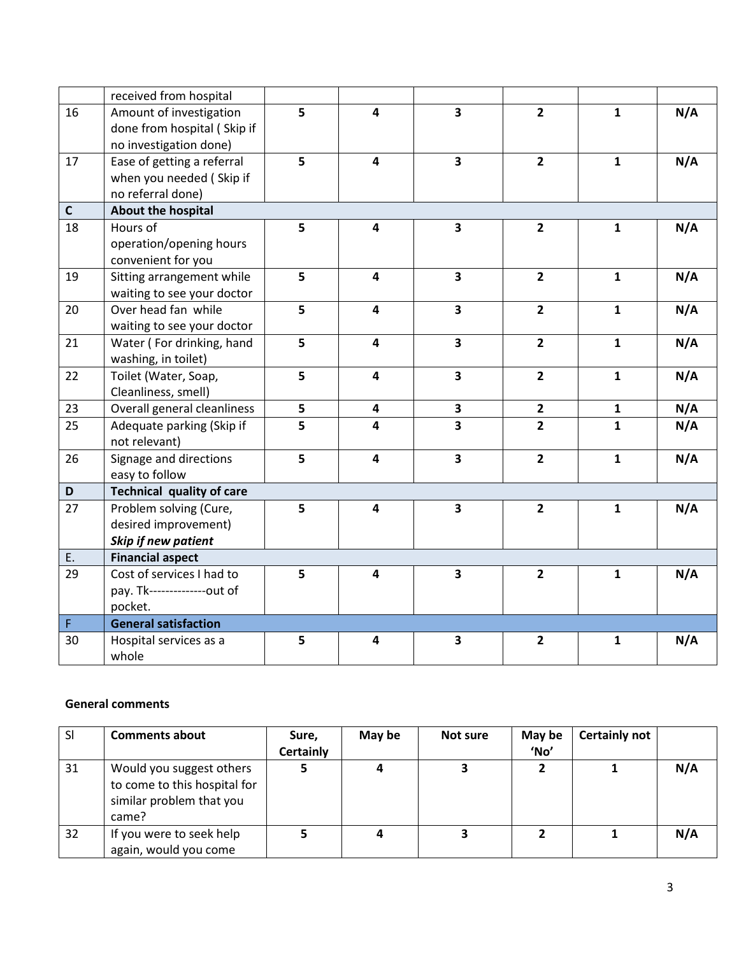|              | received from hospital           |   |                         |                         |                |              |     |
|--------------|----------------------------------|---|-------------------------|-------------------------|----------------|--------------|-----|
| 16           | Amount of investigation          | 5 | 4                       | $\overline{\mathbf{3}}$ | $\overline{2}$ | $\mathbf{1}$ | N/A |
|              | done from hospital (Skip if      |   |                         |                         |                |              |     |
|              | no investigation done)           |   |                         |                         |                |              |     |
| 17           | Ease of getting a referral       | 5 | $\overline{\mathbf{4}}$ | $\overline{\mathbf{3}}$ | $\overline{2}$ | $\mathbf{1}$ | N/A |
|              | when you needed (Skip if         |   |                         |                         |                |              |     |
|              | no referral done)                |   |                         |                         |                |              |     |
| $\mathsf{C}$ | About the hospital               |   |                         |                         |                |              |     |
| 18           | Hours of                         | 5 | 4                       | 3                       | $\overline{2}$ | $\mathbf{1}$ | N/A |
|              | operation/opening hours          |   |                         |                         |                |              |     |
|              | convenient for you               |   |                         |                         |                |              |     |
| 19           | Sitting arrangement while        | 5 | 4                       | $\overline{\mathbf{3}}$ | $\overline{2}$ | $\mathbf{1}$ | N/A |
|              | waiting to see your doctor       |   |                         |                         |                |              |     |
| 20           | Over head fan while              | 5 | $\overline{\mathbf{4}}$ | $\overline{\mathbf{3}}$ | $\overline{2}$ | $\mathbf{1}$ | N/A |
|              | waiting to see your doctor       |   |                         |                         |                |              |     |
| 21           | Water (For drinking, hand        | 5 | $\overline{\mathbf{4}}$ | 3                       | $\overline{2}$ | $\mathbf{1}$ | N/A |
|              | washing, in toilet)              |   |                         |                         |                |              |     |
| 22           | Toilet (Water, Soap,             | 5 | $\overline{\mathbf{4}}$ | $\overline{\mathbf{3}}$ | $\overline{2}$ | $\mathbf{1}$ | N/A |
|              | Cleanliness, smell)              |   |                         |                         |                |              |     |
| 23           | Overall general cleanliness      | 5 | 4                       | 3                       | $\overline{2}$ | $\mathbf{1}$ | N/A |
| 25           | Adequate parking (Skip if        | 5 | 4                       | $\overline{\mathbf{3}}$ | $\overline{2}$ | $\mathbf{1}$ | N/A |
|              | not relevant)                    |   |                         |                         |                |              |     |
| 26           | Signage and directions           | 5 | 4                       | $\overline{\mathbf{3}}$ | $\mathbf{2}$   | $\mathbf{1}$ | N/A |
|              | easy to follow                   |   |                         |                         |                |              |     |
| D            | <b>Technical quality of care</b> |   |                         |                         |                |              |     |
| 27           | Problem solving (Cure,           | 5 | $\overline{\mathbf{4}}$ | $\overline{\mathbf{3}}$ | $\overline{2}$ | $\mathbf{1}$ | N/A |
|              | desired improvement)             |   |                         |                         |                |              |     |
|              | Skip if new patient              |   |                         |                         |                |              |     |
| E.           | <b>Financial aspect</b>          |   |                         |                         |                |              |     |
| 29           | Cost of services I had to        | 5 | $\overline{\mathbf{4}}$ | $\overline{\mathbf{3}}$ | $\overline{2}$ | $\mathbf{1}$ | N/A |
|              | pay. Tk---------------out of     |   |                         |                         |                |              |     |
|              | pocket.                          |   |                         |                         |                |              |     |
| F            | <b>General satisfaction</b>      |   |                         |                         |                |              |     |
| 30           | Hospital services as a           | 5 | 4                       | 3                       | $\overline{2}$ | 1            | N/A |
|              | whole                            |   |                         |                         |                |              |     |

### **General comments**

| <sub>SI</sub> | <b>Comments about</b>                                                                         | Sure,<br><b>Certainly</b> | May be | Not sure | May be<br>'No' | <b>Certainly not</b> |     |
|---------------|-----------------------------------------------------------------------------------------------|---------------------------|--------|----------|----------------|----------------------|-----|
| 31            | Would you suggest others<br>to come to this hospital for<br>similar problem that you<br>came? |                           | 4      |          |                |                      | N/A |
| 32            | If you were to seek help<br>again, would you come                                             |                           | 4      |          |                |                      | N/A |